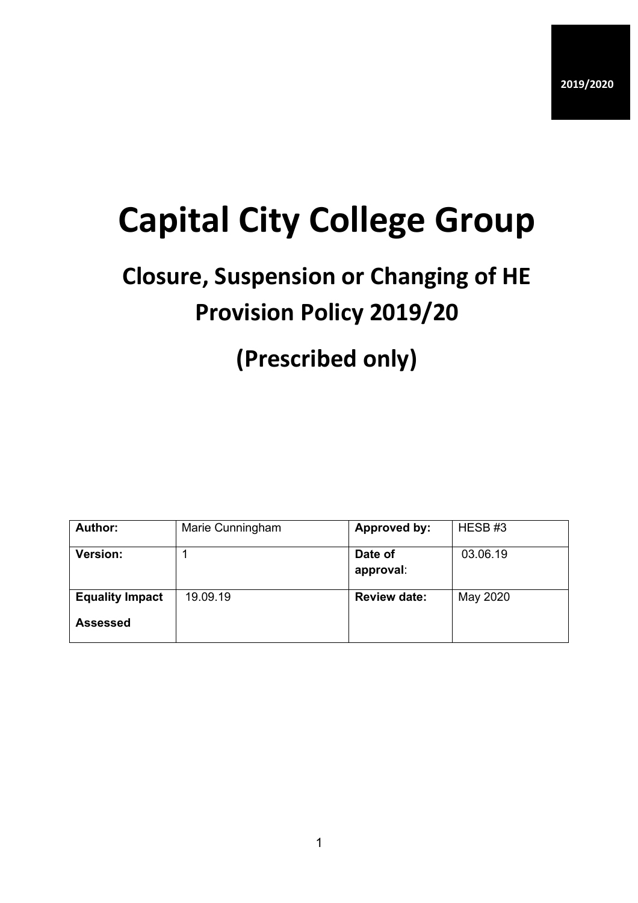# **Capital City College Group**

## **Closure, Suspension or Changing of HE Provision Policy 2019/20**

### **(Prescribed only)**

| <b>Author:</b>                            | Marie Cunningham | <b>Approved by:</b>  | HESB#3   |
|-------------------------------------------|------------------|----------------------|----------|
| Version:                                  |                  | Date of<br>approval: | 03.06.19 |
| <b>Equality Impact</b><br><b>Assessed</b> | 19.09.19         | <b>Review date:</b>  | May 2020 |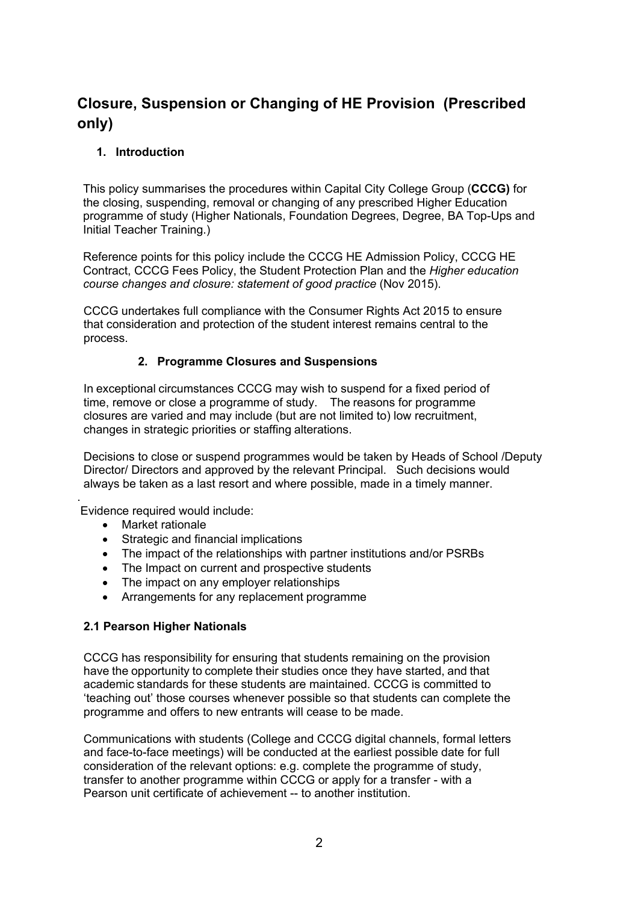### **Closure, Suspension or Changing of HE Provision (Prescribed only)**

#### **1. Introduction**

This policy summarises the procedures within Capital City College Group (**CCCG)** for the closing, suspending, removal or changing of any prescribed Higher Education programme of study (Higher Nationals, Foundation Degrees, Degree, BA Top-Ups and Initial Teacher Training.)

Reference points for this policy include the CCCG HE Admission Policy, CCCG HE Contract, CCCG Fees Policy, the Student Protection Plan and the *Higher education course changes and closure: statement of good practice* (Nov 2015).

CCCG undertakes full compliance with the Consumer Rights Act 2015 to ensure that consideration and protection of the student interest remains central to the process.

#### **2. Programme Closures and Suspensions**

In exceptional circumstances CCCG may wish to suspend for a fixed period of time, remove or close a programme of study. The reasons for programme closures are varied and may include (but are not limited to) low recruitment, changes in strategic priorities or staffing alterations.

Decisions to close or suspend programmes would be taken by Heads of School /Deputy Director/ Directors and approved by the relevant Principal. Such decisions would always be taken as a last resort and where possible, made in a timely manner.

Evidence required would include:

• Market rationale

.

- Strategic and financial implications
- The impact of the relationships with partner institutions and/or PSRBs
- The Impact on current and prospective students
- The impact on any employer relationships
- Arrangements for any replacement programme

#### **2.1 Pearson Higher Nationals**

CCCG has responsibility for ensuring that students remaining on the provision have the opportunity to complete their studies once they have started, and that academic standards for these students are maintained. CCCG is committed to 'teaching out' those courses whenever possible so that students can complete the programme and offers to new entrants will cease to be made.

Communications with students (College and CCCG digital channels, formal letters and face-to-face meetings) will be conducted at the earliest possible date for full consideration of the relevant options: e.g. complete the programme of study, transfer to another programme within CCCG or apply for a transfer - with a Pearson unit certificate of achievement -- to another institution.